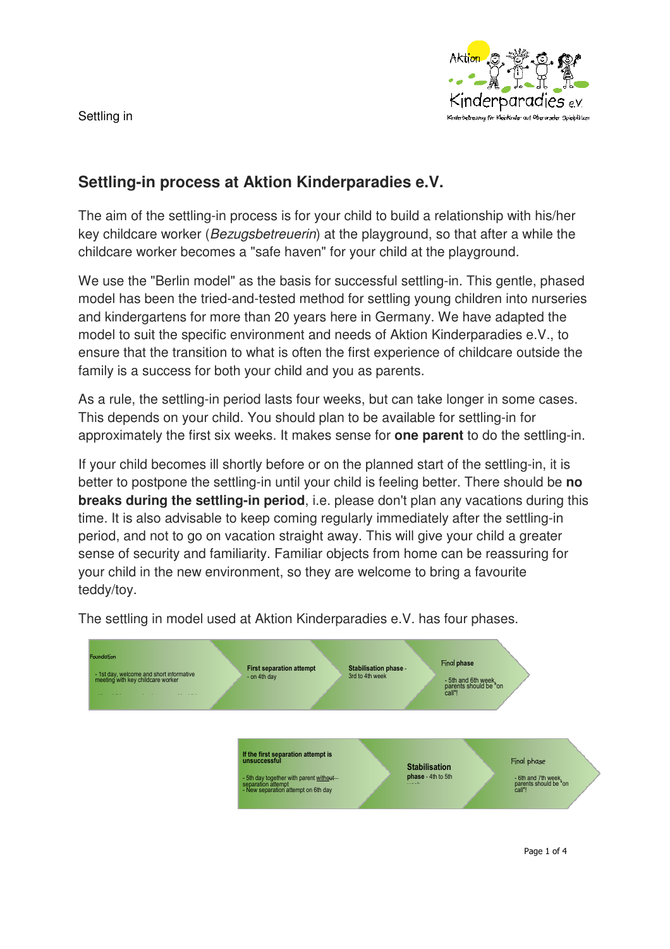Settling in



# **Settling-in process at Aktion Kinderparadies e.V.**

The aim of the settling-in process is for your child to build a relationship with his/her key childcare worker (Bezugsbetreuerin) at the playground, so that after a while the childcare worker becomes a "safe haven" for your child at the playground.

We use the "Berlin model" as the basis for successful settling-in. This gentle, phased model has been the tried-and-tested method for settling young children into nurseries and kindergartens for more than 20 years here in Germany. We have adapted the model to suit the specific environment and needs of Aktion Kinderparadies e.V., to ensure that the transition to what is often the first experience of childcare outside the family is a success for both your child and you as parents.

As a rule, the settling-in period lasts four weeks, but can take longer in some cases. This depends on your child. You should plan to be available for settling-in for approximately the first six weeks. It makes sense for **one parent** to do the settling-in.

If your child becomes ill shortly before or on the planned start of the settling-in, it is better to postpone the settling-in until your child is feeling better. There should be **no breaks during the settling-in period**, i.e. please don't plan any vacations during this time. It is also advisable to keep coming regularly immediately after the settling-in period, and not to go on vacation straight away. This will give your child a greater sense of security and familiarity. Familiar objects from home can be reassuring for your child in the new environment, so they are welcome to bring a favourite teddy/toy.



The settling in model used at Aktion Kinderparadies e.V. has four phases.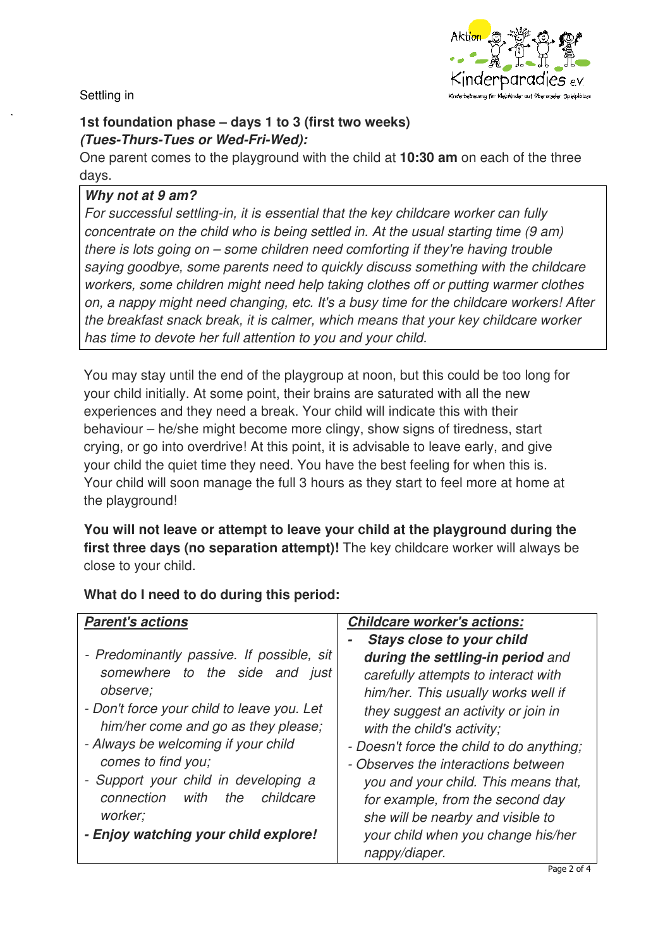

#### Settling in

### **1st foundation phase – days 1 to 3 (first two weeks)**  *(Tues-Thurs-Tues or Wed-Fri-Wed):*

One parent comes to the playground with the child at **10:30 am** on each of the three days.

### *Why not at 9 am?*

For successful settling-in, it is essential that the key childcare worker can fully concentrate on the child who is being settled in. At the usual starting time (9 am) there is lots going on – some children need comforting if they're having trouble saying goodbye, some parents need to quickly discuss something with the childcare workers, some children might need help taking clothes off or putting warmer clothes on, a nappy might need changing, etc. It's a busy time for the childcare workers! After the breakfast snack break, it is calmer, which means that your key childcare worker has time to devote her full attention to you and your child.

You may stay until the end of the playgroup at noon, but this could be too long for your child initially. At some point, their brains are saturated with all the new experiences and they need a break. Your child will indicate this with their behaviour – he/she might become more clingy, show signs of tiredness, start crying, or go into overdrive! At this point, it is advisable to leave early, and give your child the quiet time they need. You have the best feeling for when this is. Your child will soon manage the full 3 hours as they start to feel more at home at the playground!

**You will not leave or attempt to leave your child at the playground during the first three days (no separation attempt)!** The key childcare worker will always be close to your child.

| <b>Parent's actions</b>                    | <b>Childcare worker's actions:</b>        |
|--------------------------------------------|-------------------------------------------|
|                                            | <b>Stays close to your child</b>          |
| - Predominantly passive. If possible, sit  | during the settling-in period and         |
| somewhere to the side and just             | carefully attempts to interact with       |
| observe;                                   | him/her. This usually works well if       |
| - Don't force your child to leave you. Let | they suggest an activity or join in       |
| him/her come and go as they please;        | with the child's activity;                |
| - Always be welcoming if your child        | - Doesn't force the child to do anything; |
| comes to find you;                         | - Observes the interactions between       |
| - Support your child in developing a       | you and your child. This means that,      |
| connection with<br>the<br>childcare        | for example, from the second day          |
| worker;                                    | she will be nearby and visible to         |
| - Enjoy watching your child explore!       | your child when you change his/her        |
|                                            | nappy/diaper.                             |

## **What do I need to do during this period:**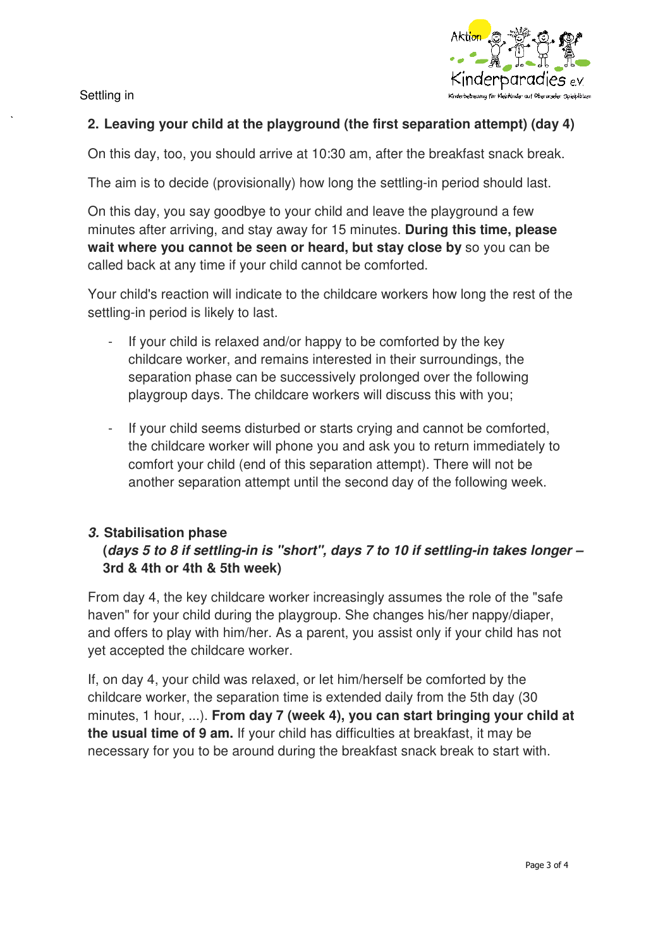<inderparadies

Settling in

#### **2. Leaving your child at the playground (the first separation attempt) (day 4)**

On this day, too, you should arrive at 10:30 am, after the breakfast snack break.

The aim is to decide (provisionally) how long the settling-in period should last.

On this day, you say goodbye to your child and leave the playground a few minutes after arriving, and stay away for 15 minutes. **During this time, please wait where you cannot be seen or heard, but stay close by** so you can be called back at any time if your child cannot be comforted.

Your child's reaction will indicate to the childcare workers how long the rest of the settling-in period is likely to last.

- If your child is relaxed and/or happy to be comforted by the key childcare worker, and remains interested in their surroundings, the separation phase can be successively prolonged over the following playgroup days. The childcare workers will discuss this with you;
- If your child seems disturbed or starts crying and cannot be comforted, the childcare worker will phone you and ask you to return immediately to comfort your child (end of this separation attempt). There will not be another separation attempt until the second day of the following week.

### *3.* **Stabilisation phase**

## **(***days 5 to 8 if settling-in is "short", days 7 to 10 if settling-in takes longer –* **3rd & 4th or 4th & 5th week)**

From day 4, the key childcare worker increasingly assumes the role of the "safe haven" for your child during the playgroup. She changes his/her nappy/diaper, and offers to play with him/her. As a parent, you assist only if your child has not yet accepted the childcare worker.

If, on day 4, your child was relaxed, or let him/herself be comforted by the childcare worker, the separation time is extended daily from the 5th day (30 minutes, 1 hour, ...). **From day 7 (week 4), you can start bringing your child at the usual time of 9 am.** If your child has difficulties at breakfast, it may be necessary for you to be around during the breakfast snack break to start with.